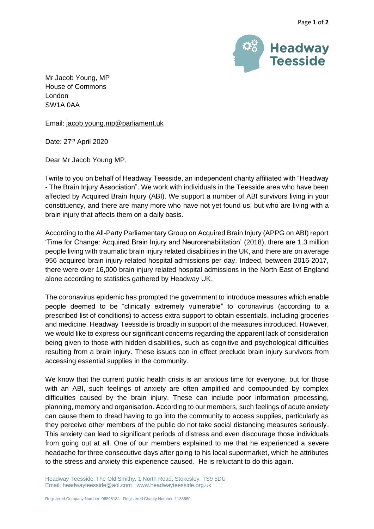

Mr Jacob Young, MP House of Commons London SW1A 0AA

Email: [jacob.young.mp@parliament.uk](mailto:jacob.young.mp@parliament.uk)

Date: 27<sup>th</sup> April 2020

Dear Mr Jacob Young MP,

I write to you on behalf of Headway Teesside, an independent charity affiliated with "Headway - The Brain Injury Association". We work with individuals in the Teesside area who have been affected by Acquired Brain Injury (ABI). We support a number of ABI survivors living in your constituency, and there are many more who have not yet found us, but who are living with a brain injury that affects them on a daily basis.

According to the All-Party Parliamentary Group on Acquired Brain Injury (APPG on ABI) report 'Time for Change: Acquired Brain Injury and Neurorehabilitation' (2018), there are 1.3 million people living with traumatic brain injury related disabilities in the UK, and there are on average 956 acquired brain injury related hospital admissions per day. Indeed, between 2016-2017, there were over 16,000 brain injury related hospital admissions in the North East of England alone according to statistics gathered by Headway UK.

The coronavirus epidemic has prompted the government to introduce measures which enable people deemed to be "clinically extremely vulnerable" to coronavirus (according to a prescribed list of conditions) to access extra support to obtain essentials, including groceries and medicine. Headway Teesside is broadly in support of the measures introduced. However, we would like to express our significant concerns regarding the apparent lack of consideration being given to those with hidden disabilities, such as cognitive and psychological difficulties resulting from a brain injury. These issues can in effect preclude brain injury survivors from accessing essential supplies in the community.

We know that the current public health crisis is an anxious time for everyone, but for those with an ABI, such feelings of anxiety are often amplified and compounded by complex difficulties caused by the brain injury. These can include poor information processing, planning, memory and organisation. According to our members, such feelings of acute anxiety can cause them to dread having to go into the community to access supplies, particularly as they perceive other members of the public do not take social distancing measures seriously. This anxiety can lead to significant periods of distress and even discourage those individuals from going out at all. One of our members explained to me that he experienced a severe headache for three consecutive days after going to his local supermarket, which he attributes to the stress and anxiety this experience caused. He is reluctant to do this again.

Headway Teesside, The Old Smithy, 1 North Road, Stokesley, TS9 5DU Email[: headwayteesside@aol.com](mailto:headwayteesside@aol.com) www.headwayteesside.org.uk